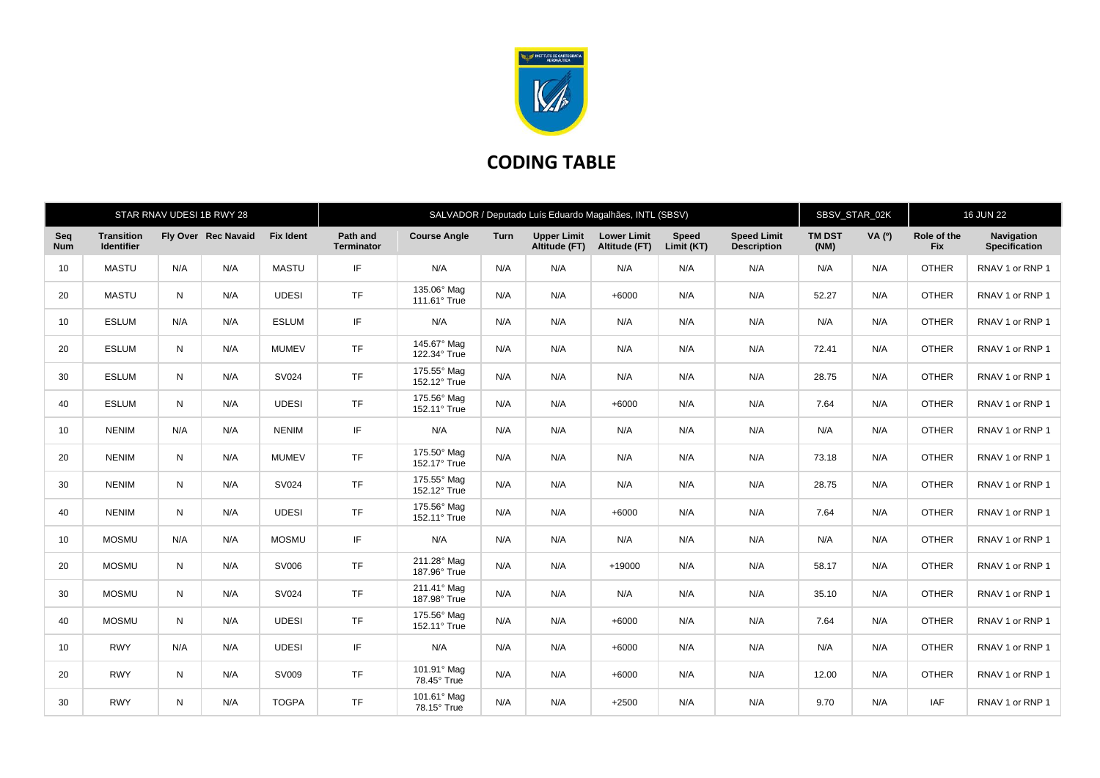

## **CODING TABLE**

|                   |                                        |     | STAR RNAV UDESI 1B RWY 28 |                  | SALVADOR / Deputado Luís Eduardo Magalhães, INTL (SBSV) |                             |      |                                     |                                     |                            |                                          |                       | SBSV_STAR_02K |                           | <b>16 JUN 22</b>                   |  |
|-------------------|----------------------------------------|-----|---------------------------|------------------|---------------------------------------------------------|-----------------------------|------|-------------------------------------|-------------------------------------|----------------------------|------------------------------------------|-----------------------|---------------|---------------------------|------------------------------------|--|
| Seq<br><b>Num</b> | <b>Transition</b><br><b>Identifier</b> |     | Fly Over Rec Navaid       | <b>Fix Ident</b> | Path and<br><b>Terminator</b>                           | <b>Course Angle</b>         | Turn | <b>Upper Limit</b><br>Altitude (FT) | <b>Lower Limit</b><br>Altitude (FT) | <b>Speed</b><br>Limit (KT) | <b>Speed Limit</b><br><b>Description</b> | <b>TM DST</b><br>(NM) | <b>VA</b> (0) | Role of the<br><b>Fix</b> | <b>Navigation</b><br>Specification |  |
| 10                | <b>MASTU</b>                           | N/A | N/A                       | <b>MASTU</b>     | IF                                                      | N/A                         | N/A  | N/A                                 | N/A                                 | N/A                        | N/A                                      | N/A                   | N/A           | <b>OTHER</b>              | RNAV 1 or RNP 1                    |  |
| 20                | <b>MASTU</b>                           | N   | N/A                       | <b>UDESI</b>     | <b>TF</b>                                               | 135.06° Mag<br>111.61° True | N/A  | N/A                                 | $+6000$                             | N/A                        | N/A                                      | 52.27                 | N/A           | <b>OTHER</b>              | RNAV 1 or RNP 1                    |  |
| 10                | <b>ESLUM</b>                           | N/A | N/A                       | <b>ESLUM</b>     | IF                                                      | N/A                         | N/A  | N/A                                 | N/A                                 | N/A                        | N/A                                      | N/A                   | N/A           | <b>OTHER</b>              | RNAV 1 or RNP 1                    |  |
| 20                | <b>ESLUM</b>                           | N   | N/A                       | <b>MUMEV</b>     | <b>TF</b>                                               | 145.67° Mag<br>122.34° True | N/A  | N/A                                 | N/A                                 | N/A                        | N/A                                      | 72.41                 | N/A           | <b>OTHER</b>              | RNAV 1 or RNP 1                    |  |
| 30                | <b>ESLUM</b>                           | N   | N/A                       | SV024            | <b>TF</b>                                               | 175.55° Mag<br>152.12° True | N/A  | N/A                                 | N/A                                 | N/A                        | N/A                                      | 28.75                 | N/A           | <b>OTHER</b>              | RNAV 1 or RNP 1                    |  |
| 40                | <b>ESLUM</b>                           | N   | N/A                       | <b>UDESI</b>     | <b>TF</b>                                               | 175.56° Mag<br>152.11° True | N/A  | N/A                                 | $+6000$                             | N/A                        | N/A                                      | 7.64                  | N/A           | <b>OTHER</b>              | RNAV 1 or RNP 1                    |  |
| 10                | <b>NENIM</b>                           | N/A | N/A                       | <b>NENIM</b>     | IF                                                      | N/A                         | N/A  | N/A                                 | N/A                                 | N/A                        | N/A                                      | N/A                   | N/A           | <b>OTHER</b>              | RNAV 1 or RNP 1                    |  |
| 20                | <b>NENIM</b>                           | N   | N/A                       | <b>MUMEV</b>     | <b>TF</b>                                               | 175.50° Mag<br>152.17° True | N/A  | N/A                                 | N/A                                 | N/A                        | N/A                                      | 73.18                 | N/A           | <b>OTHER</b>              | RNAV 1 or RNP 1                    |  |
| 30                | <b>NENIM</b>                           | N   | N/A                       | SV024            | <b>TF</b>                                               | 175.55° Mag<br>152.12° True | N/A  | N/A                                 | N/A                                 | N/A                        | N/A                                      | 28.75                 | N/A           | <b>OTHER</b>              | RNAV 1 or RNP 1                    |  |
| 40                | <b>NENIM</b>                           | N   | N/A                       | <b>UDESI</b>     | <b>TF</b>                                               | 175.56° Mag<br>152.11° True | N/A  | N/A                                 | $+6000$                             | N/A                        | N/A                                      | 7.64                  | N/A           | <b>OTHER</b>              | RNAV 1 or RNP 1                    |  |
| 10                | <b>MOSMU</b>                           | N/A | N/A                       | <b>MOSMU</b>     | IF                                                      | N/A                         | N/A  | N/A                                 | N/A                                 | N/A                        | N/A                                      | N/A                   | N/A           | <b>OTHER</b>              | RNAV 1 or RNP 1                    |  |
| 20                | <b>MOSMU</b>                           | N   | N/A                       | SV006            | <b>TF</b>                                               | 211.28° Mag<br>187.96° True | N/A  | N/A                                 | $+19000$                            | N/A                        | N/A                                      | 58.17                 | N/A           | <b>OTHER</b>              | RNAV 1 or RNP 1                    |  |
| 30                | <b>MOSMU</b>                           | N   | N/A                       | SV024            | <b>TF</b>                                               | 211.41° Mag<br>187.98° True | N/A  | N/A                                 | N/A                                 | N/A                        | N/A                                      | 35.10                 | N/A           | <b>OTHER</b>              | RNAV 1 or RNP 1                    |  |
| 40                | <b>MOSMU</b>                           | N   | N/A                       | <b>UDESI</b>     | <b>TF</b>                                               | 175.56° Mag<br>152.11° True | N/A  | N/A                                 | $+6000$                             | N/A                        | N/A                                      | 7.64                  | N/A           | <b>OTHER</b>              | RNAV 1 or RNP 1                    |  |
| 10                | <b>RWY</b>                             | N/A | N/A                       | <b>UDESI</b>     | IF                                                      | N/A                         | N/A  | N/A                                 | $+6000$                             | N/A                        | N/A                                      | N/A                   | N/A           | <b>OTHER</b>              | RNAV 1 or RNP 1                    |  |
| 20                | <b>RWY</b>                             | N   | N/A                       | SV009            | <b>TF</b>                                               | 101.91° Mag<br>78.45° True  | N/A  | N/A                                 | $+6000$                             | N/A                        | N/A                                      | 12.00                 | N/A           | <b>OTHER</b>              | RNAV 1 or RNP 1                    |  |
| 30                | <b>RWY</b>                             | N   | N/A                       | <b>TOGPA</b>     | <b>TF</b>                                               | 101.61° Mag<br>78.15° True  | N/A  | N/A                                 | $+2500$                             | N/A                        | N/A                                      | 9.70                  | N/A           | <b>IAF</b>                | RNAV 1 or RNP 1                    |  |